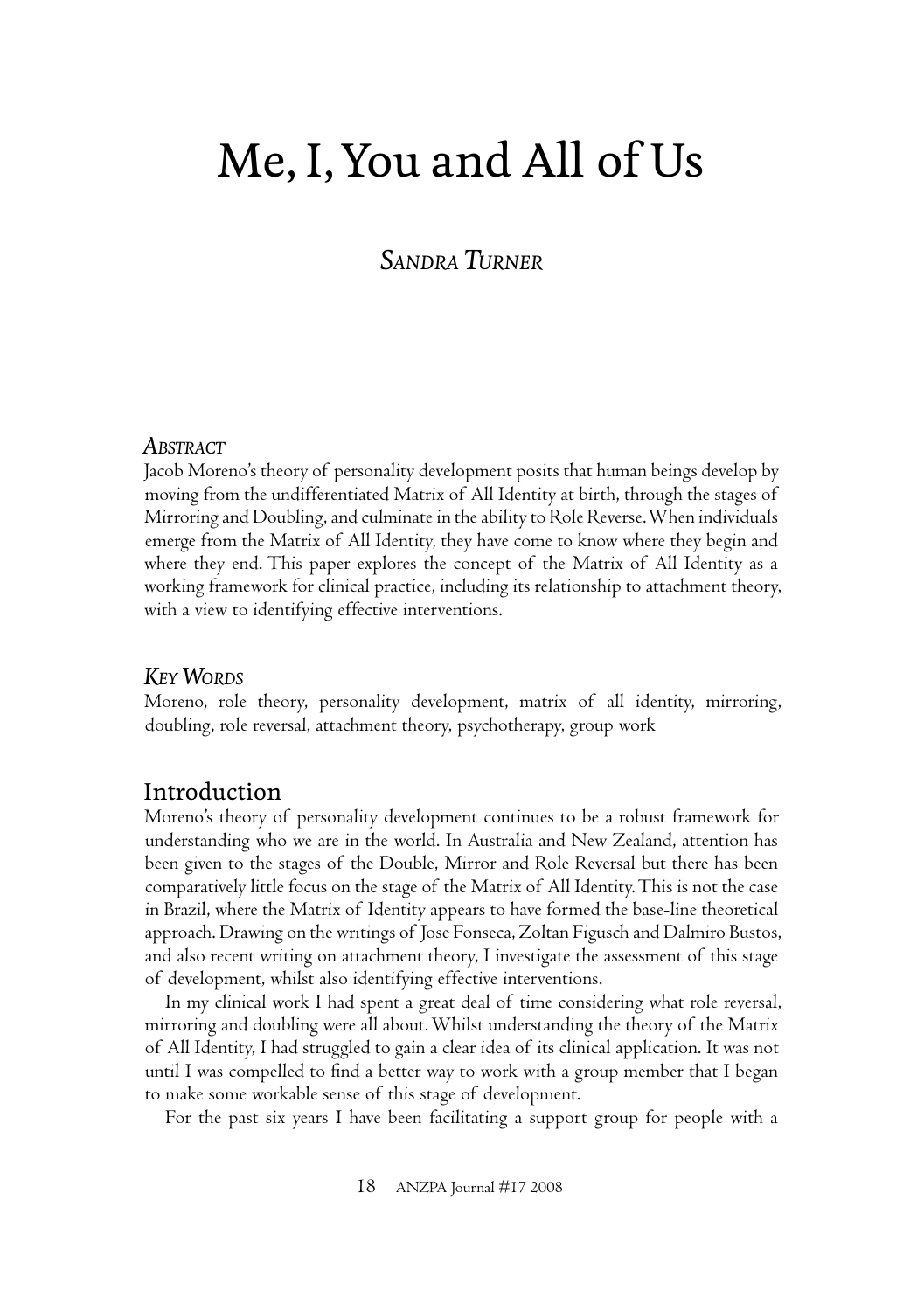# Me, I, You and All of Us

# *SANDRA TURNER*

#### *ABSTRACT*

Jacob Moreno's theory of personality development posits that human beings develop by moving from the undifferentiated Matrix of All Identity at birth, through the stages of Mirroring and Doubling, and culminate in the ability to Role Reverse. When individuals emerge from the Matrix of All Identity, they have come to know where they begin and where they end. This paper explores the concept of the Matrix of All Identity as a working framework for clinical practice, including its relationship to attachment theory, with a view to identifying effective interventions.

#### *KEY WORDS*

Moreno, role theory, personality development, matrix of all identity, mirroring, doubling, role reversal, attachment theory, psychotherapy, group work

### Introduction

Moreno's theory of personality development continues to be a robust framework for understanding who we are in the world. In Australia and New Zealand, attention has been given to the stages of the Double, Mirror and Role Reversal but there has been comparatively little focus on the stage of the Matrix of All Identity. This is not the case in Brazil, where the Matrix of Identity appears to have formed the base-line theoretical approach. Drawing on the writings of Jose Fonseca, Zoltan Figusch and Dalmiro Bustos, and also recent writing on attachment theory, I investigate the assessment of this stage of development, whilst also identifying effective interventions.

In my clinical work I had spent a great deal of time considering what role reversal, mirroring and doubling were all about. Whilst understanding the theory of the Matrix of All Identity, I had struggled to gain a clear idea of its clinical application. It was not until I was compelled to find a better way to work with a group member that I began to make some workable sense of this stage of development.

For the past six years I have been facilitating a support group for people with a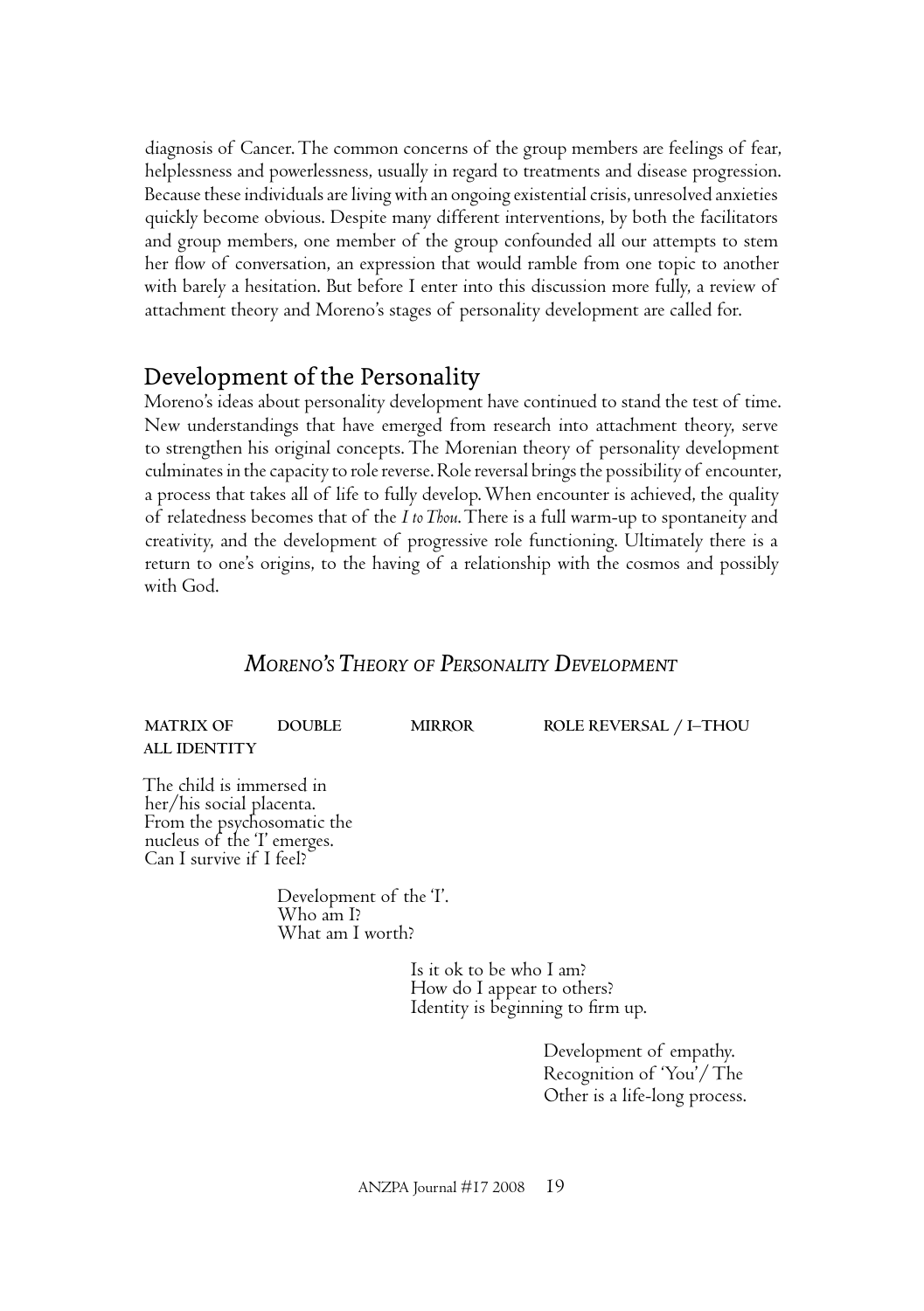diagnosis of Cancer. The common concerns of the group members are feelings of fear, helplessness and powerlessness, usually in regard to treatments and disease progression. Because these individuals are living with an ongoing existential crisis, unresolved anxieties quickly become obvious. Despite many different interventions, by both the facilitators and group members, one member of the group confounded all our attempts to stem her flow of conversation, an expression that would ramble from one topic to another with barely a hesitation. But before I enter into this discussion more fully, a review of attachment theory and Moreno's stages of personality development are called for.

## Development of the Personality

Moreno's ideas about personality development have continued to stand the test of time. New understandings that have emerged from research into attachment theory, serve to strengthen his original concepts. The Morenian theory of personality development culminates in the capacity to role reverse. Role reversal brings the possibility of encounter, a process that takes all of life to fully develop. When encounter is achieved, the quality of relatedness becomes that of the *I to Thou*. There is a full warm-up to spontaneity and creativity, and the development of progressive role functioning. Ultimately there is a return to one's origins, to the having of a relationship with the cosmos and possibly with God.

### *MORENO'S THEORY OF PERSONALITY DEVELOPMENT*

**MATRIX OF DOUBLE MIRROR ROLE REVERSAL / I–THOU ALL IDENTITY**

The child is immersed in her/his social placenta. From the psychosomatic the nucleus of the 'I' emerges. Can I survive if I feel?

> Development of the 'I'. Who am I? What am I worth?

> > Is it ok to be who I am? How do I appear to others? Identity is beginning to firm up.

> > > Development of empathy. Recognition of 'You'/ The Other is a life-long process.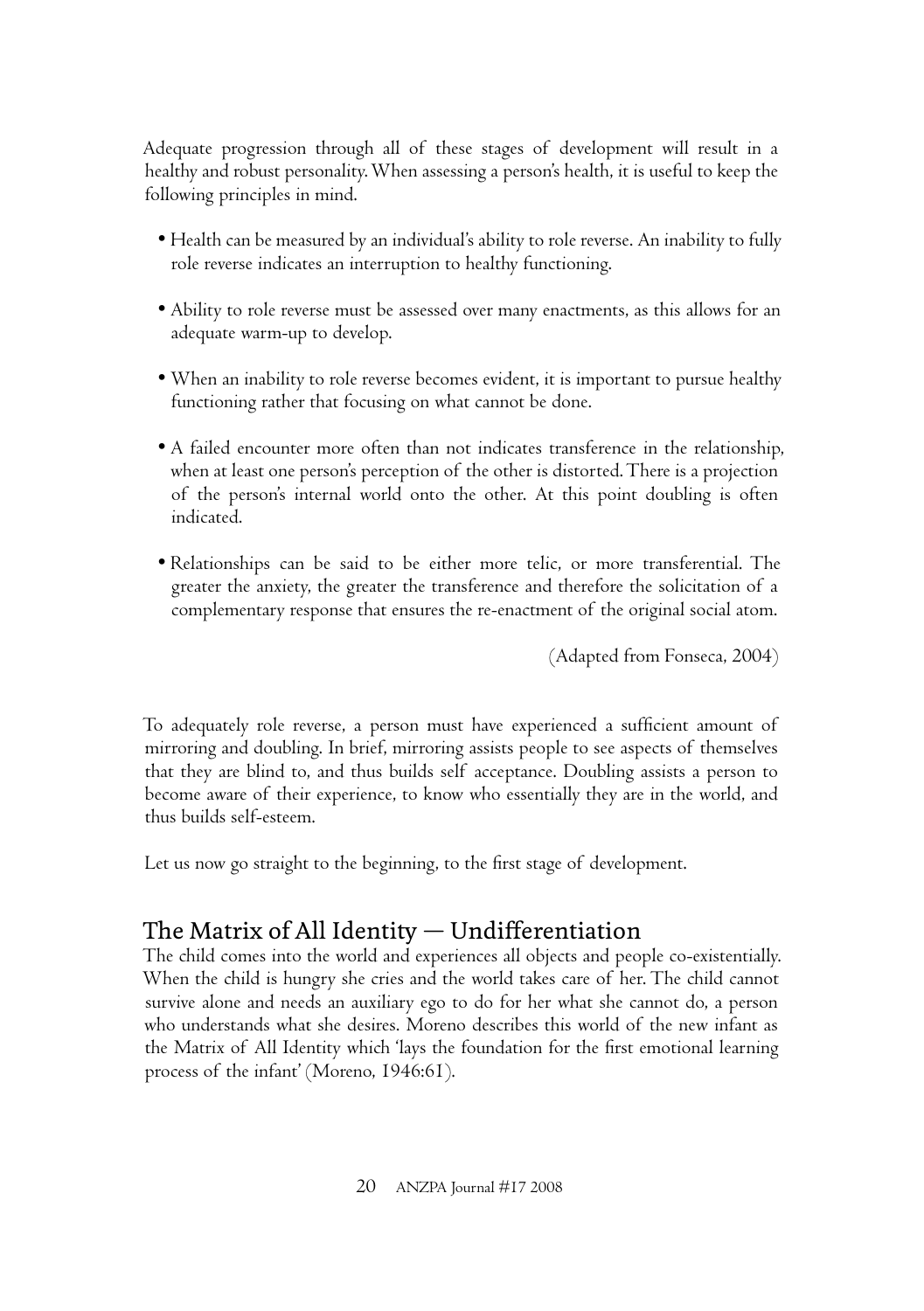Adequate progression through all of these stages of development will result in a healthy and robust personality. When assessing a person's health, it is useful to keep the following principles in mind.

- Health can be measured by an individual's ability to role reverse. An inability to fully role reverse indicates an interruption to healthy functioning.
- Ability to role reverse must be assessed over many enactments, as this allows for an adequate warm-up to develop.
- When an inability to role reverse becomes evident, it is important to pursue healthy functioning rather that focusing on what cannot be done.
- A failed encounter more often than not indicates transference in the relationship, when at least one person's perception of the other is distorted. There is a projection of the person's internal world onto the other. At this point doubling is often indicated.
- Relationships can be said to be either more telic, or more transferential. The greater the anxiety, the greater the transference and therefore the solicitation of a complementary response that ensures the re-enactment of the original social atom.

(Adapted from Fonseca, 2004)

To adequately role reverse, a person must have experienced a sufficient amount of mirroring and doubling. In brief, mirroring assists people to see aspects of themselves that they are blind to, and thus builds self acceptance. Doubling assists a person to become aware of their experience, to know who essentially they are in the world, and thus builds self-esteem.

Let us now go straight to the beginning, to the first stage of development.

# The Matrix of All Identity  $-$  Undifferentiation

The child comes into the world and experiences all objects and people co-existentially. When the child is hungry she cries and the world takes care of her. The child cannot survive alone and needs an auxiliary ego to do for her what she cannot do, a person who understands what she desires. Moreno describes this world of the new infant as the Matrix of All Identity which 'lays the foundation for the first emotional learning process of the infant' (Moreno, 1946:61).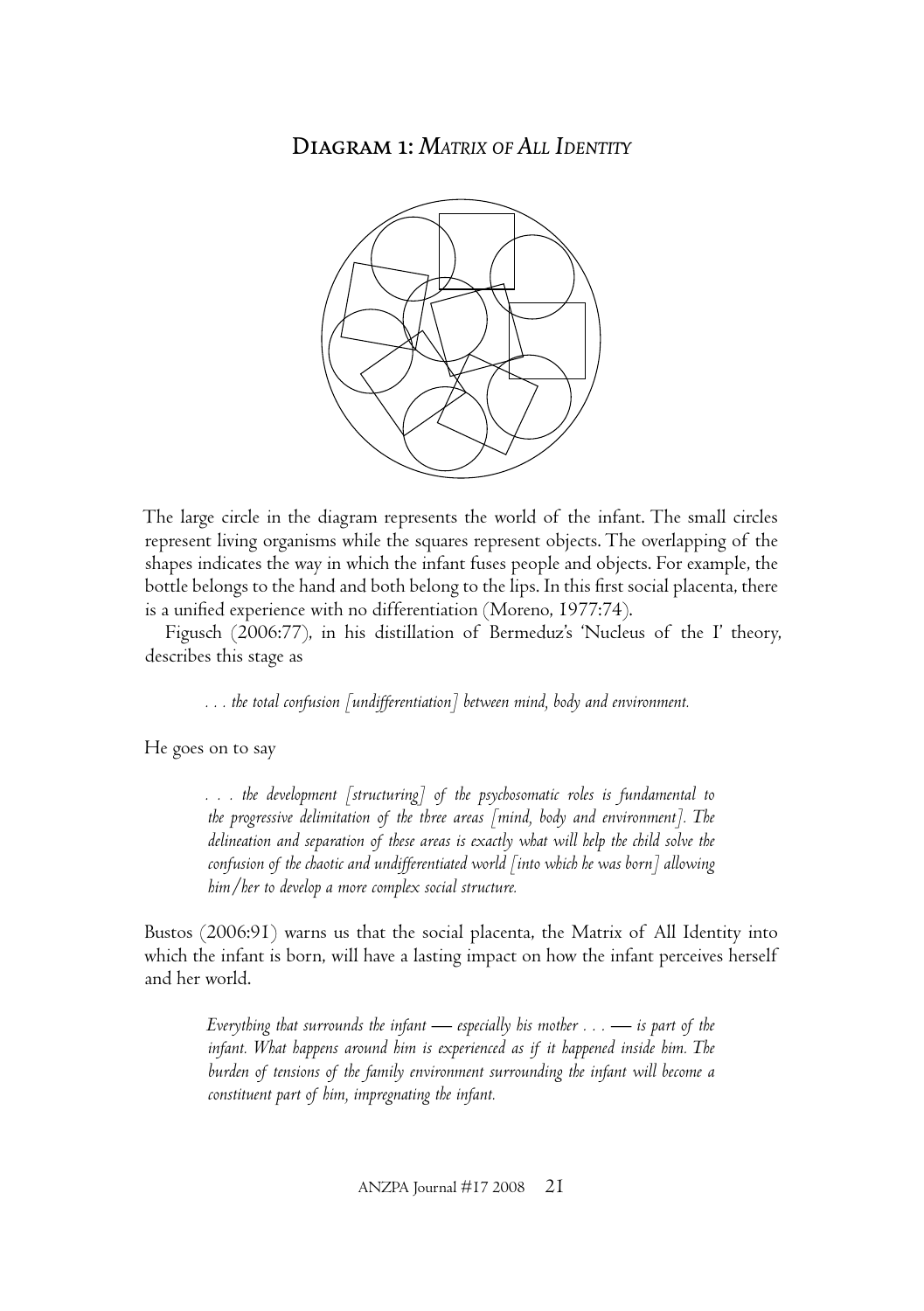Diagram 1: *MATRIX OF ALL IDENTITY*



The large circle in the diagram represents the world of the infant. The small circles represent living organisms while the squares represent objects. The overlapping of the shapes indicates the way in which the infant fuses people and objects. For example, the bottle belongs to the hand and both belong to the lips. In this first social placenta, there is a unified experience with no differentiation (Moreno, 1977:74).

Figusch (2006:77), in his distillation of Bermeduz's 'Nucleus of the I' theory, describes this stage as

*. . . the total confusion [undifferentiation] between mind, body and environment.* 

He goes on to say

*. . . the development [structuring] of the psychosomatic roles is fundamental to the progressive delimitation of the three areas [mind, body and environment]. The delineation and separation of these areas is exactly what will help the child solve the confusion of the chaotic and undifferentiated world [into which he was born] allowing him/her to develop a more complex social structure.*

Bustos (2006:91) warns us that the social placenta, the Matrix of All Identity into which the infant is born, will have a lasting impact on how the infant perceives herself and her world.

*Everything that surrounds the infant — especially his mother . . . — is part of the infant. What happens around him is experienced as if it happened inside him. The burden of tensions of the family environment surrounding the infant will become a constituent part of him, impregnating the infant.*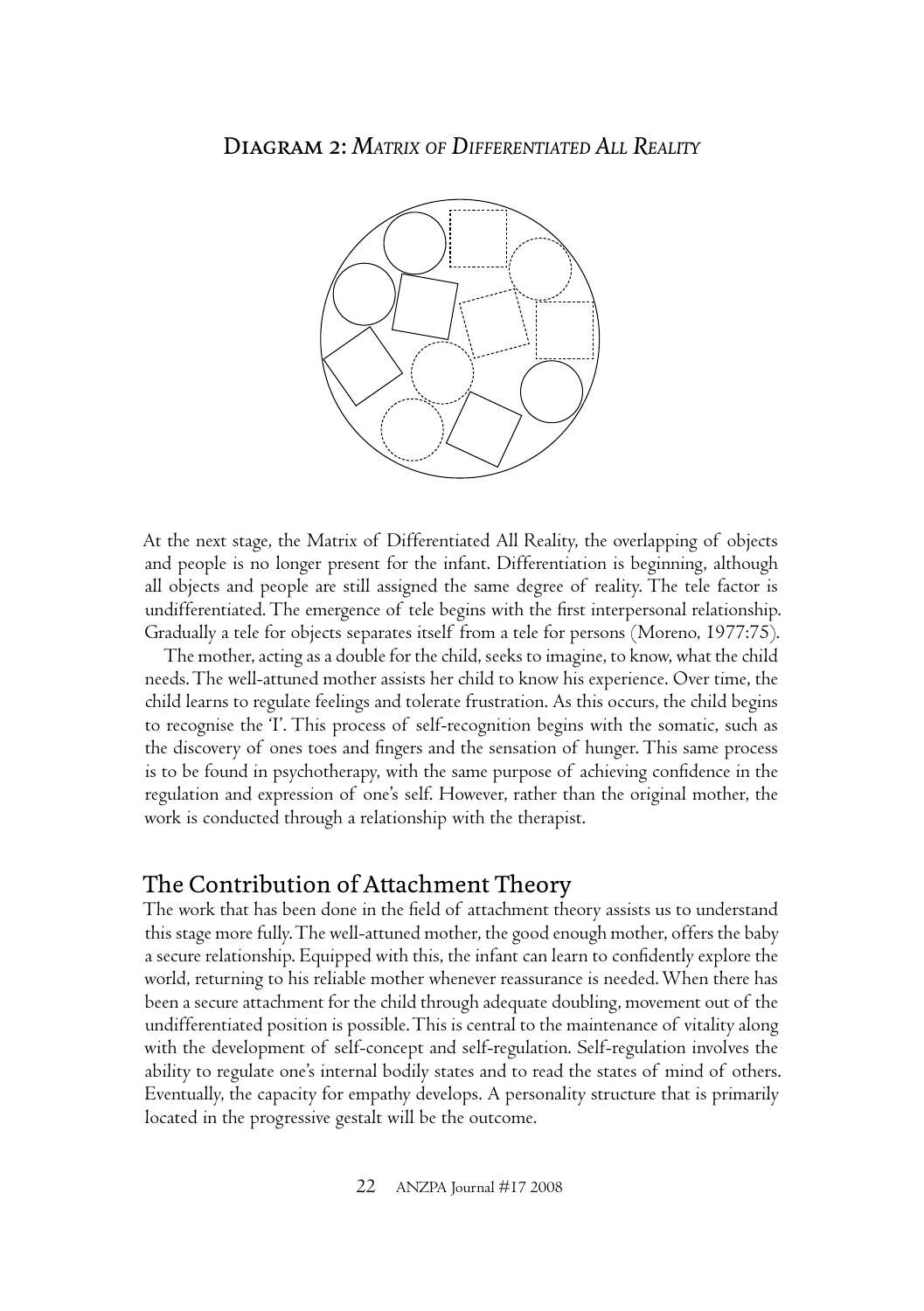

At the next stage, the Matrix of Differentiated All Reality, the overlapping of objects and people is no longer present for the infant. Differentiation is beginning, although all objects and people are still assigned the same degree of reality. The tele factor is undifferentiated. The emergence of tele begins with the first interpersonal relationship. Gradually a tele for objects separates itself from a tele for persons (Moreno, 1977:75).

The mother, acting as a double for the child, seeks to imagine, to know, what the child needs. The well-attuned mother assists her child to know his experience. Over time, the child learns to regulate feelings and tolerate frustration. As this occurs, the child begins to recognise the 'I'. This process of self-recognition begins with the somatic, such as the discovery of ones toes and fingers and the sensation of hunger. This same process is to be found in psychotherapy, with the same purpose of achieving confidence in the regulation and expression of one's self. However, rather than the original mother, the work is conducted through a relationship with the therapist.

## The Contribution of Attachment Theory

The work that has been done in the field of attachment theory assists us to understand this stage more fully. The well-attuned mother, the good enough mother, offers the baby a secure relationship. Equipped with this, the infant can learn to confidently explore the world, returning to his reliable mother whenever reassurance is needed. When there has been a secure attachment for the child through adequate doubling, movement out of the undifferentiated position is possible. This is central to the maintenance of vitality along with the development of self-concept and self-regulation. Self-regulation involves the ability to regulate one's internal bodily states and to read the states of mind of others. Eventually, the capacity for empathy develops. A personality structure that is primarily located in the progressive gestalt will be the outcome.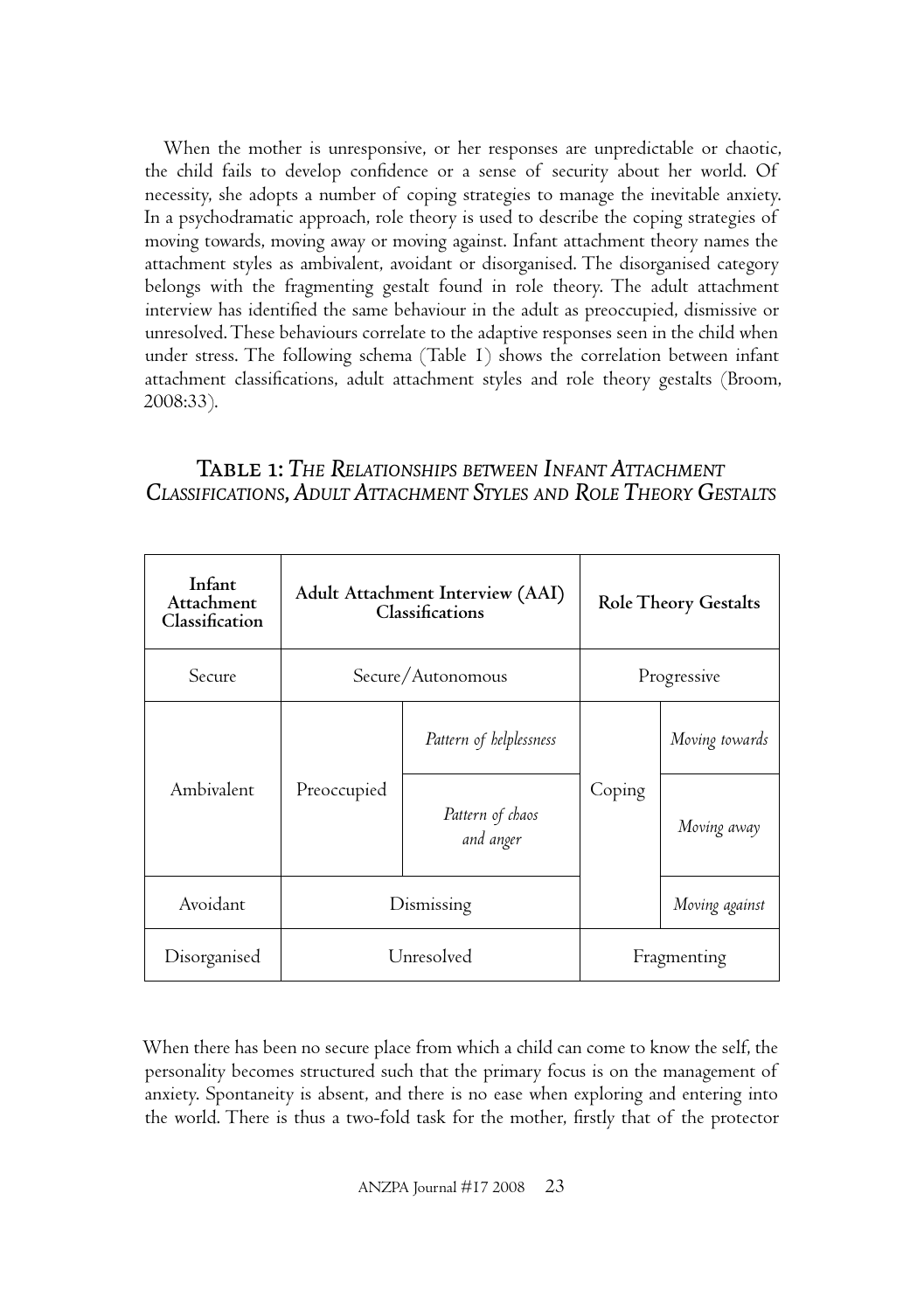When the mother is unresponsive, or her responses are unpredictable or chaotic, the child fails to develop confidence or a sense of security about her world. Of necessity, she adopts a number of coping strategies to manage the inevitable anxiety. In a psychodramatic approach, role theory is used to describe the coping strategies of moving towards, moving away or moving against. Infant attachment theory names the attachment styles as ambivalent, avoidant or disorganised. The disorganised category belongs with the fragmenting gestalt found in role theory. The adult attachment interview has identified the same behaviour in the adult as preoccupied, dismissive or unresolved. These behaviours correlate to the adaptive responses seen in the child when under stress. The following schema (Table 1) shows the correlation between infant attachment classifications, adult attachment styles and role theory gestalts (Broom, 2008:33).

#### Table 1: *THE RELATIONSHIPS BETWEEN INFANT ATTACHMENT CLASSIFICATIONS, ADULT ATTACHMENT STYLES AND ROLE THEORY GESTALTS*

| Infant<br>Attachment<br>Classification | Adult Attachment Interview (AAI)<br>Classifications |                               | <b>Role Theory Gestalts</b> |                |
|----------------------------------------|-----------------------------------------------------|-------------------------------|-----------------------------|----------------|
| Secure                                 | Secure/Autonomous                                   |                               | Progressive                 |                |
| Ambivalent                             | Preoccupied                                         | Pattern of helplessness       | Coping                      | Moving towards |
|                                        |                                                     | Pattern of chaos<br>and anger |                             | Moving away    |
| Avoidant                               | Dismissing                                          |                               |                             | Moving against |
| Disorganised                           | Unresolved                                          |                               | Fragmenting                 |                |

When there has been no secure place from which a child can come to know the self, the personality becomes structured such that the primary focus is on the management of anxiety. Spontaneity is absent, and there is no ease when exploring and entering into the world. There is thus a two-fold task for the mother, firstly that of the protector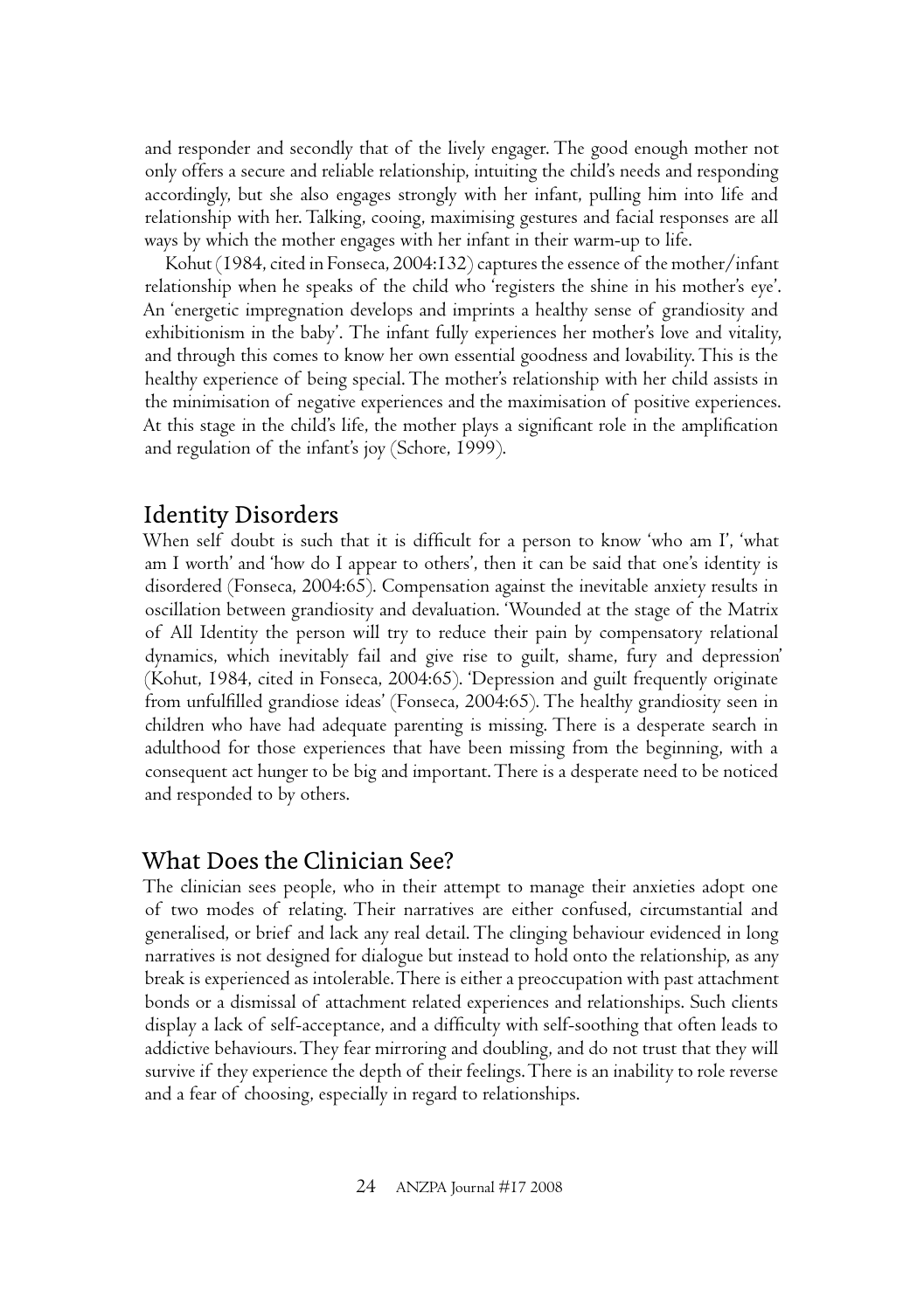and responder and secondly that of the lively engager. The good enough mother not only offers a secure and reliable relationship, intuiting the child's needs and responding accordingly, but she also engages strongly with her infant, pulling him into life and relationship with her. Talking, cooing, maximising gestures and facial responses are all ways by which the mother engages with her infant in their warm-up to life.

Kohut (1984, cited in Fonseca, 2004:132) captures the essence of the mother/infant relationship when he speaks of the child who 'registers the shine in his mother's eye'. An 'energetic impregnation develops and imprints a healthy sense of grandiosity and exhibitionism in the baby'. The infant fully experiences her mother's love and vitality, and through this comes to know her own essential goodness and lovability. This is the healthy experience of being special. The mother's relationship with her child assists in the minimisation of negative experiences and the maximisation of positive experiences. At this stage in the child's life, the mother plays a significant role in the amplification and regulation of the infant's joy (Schore, 1999).

## Identity Disorders

When self doubt is such that it is difficult for a person to know 'who am I', 'what am I worth' and 'how do I appear to others', then it can be said that one's identity is disordered (Fonseca, 2004:65). Compensation against the inevitable anxiety results in oscillation between grandiosity and devaluation. 'Wounded at the stage of the Matrix of All Identity the person will try to reduce their pain by compensatory relational dynamics, which inevitably fail and give rise to guilt, shame, fury and depression' (Kohut, 1984, cited in Fonseca, 2004:65). 'Depression and guilt frequently originate from unfulfilled grandiose ideas' (Fonseca, 2004:65). The healthy grandiosity seen in children who have had adequate parenting is missing. There is a desperate search in adulthood for those experiences that have been missing from the beginning, with a consequent act hunger to be big and important. There is a desperate need to be noticed and responded to by others.

### What Does the Clinician See?

The clinician sees people, who in their attempt to manage their anxieties adopt one of two modes of relating. Their narratives are either confused, circumstantial and generalised, or brief and lack any real detail. The clinging behaviour evidenced in long narratives is not designed for dialogue but instead to hold onto the relationship, as any break is experienced as intolerable. There is either a preoccupation with past attachment bonds or a dismissal of attachment related experiences and relationships. Such clients display a lack of self-acceptance, and a difficulty with self-soothing that often leads to addictive behaviours. They fear mirroring and doubling, and do not trust that they will survive if they experience the depth of their feelings. There is an inability to role reverse and a fear of choosing, especially in regard to relationships.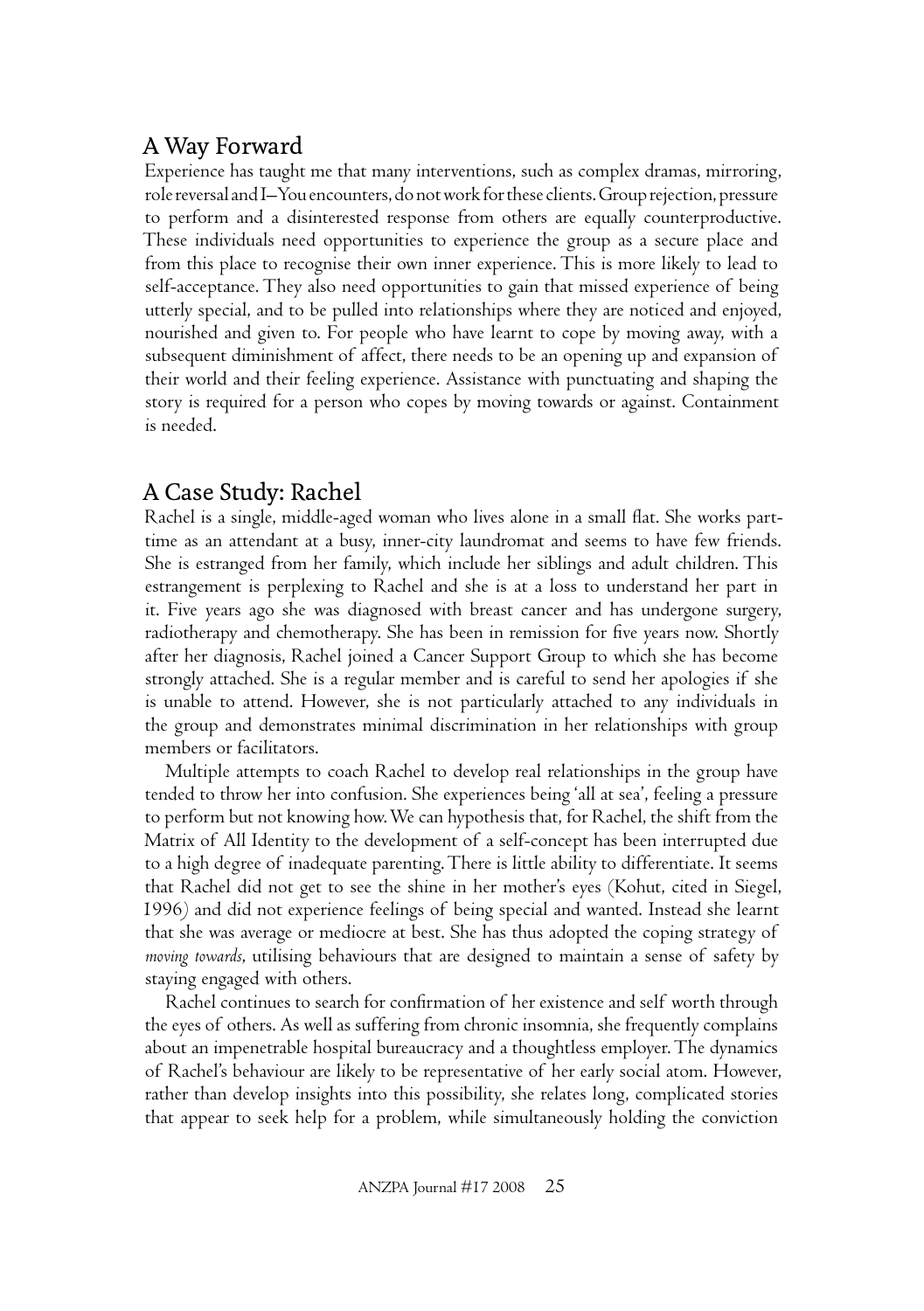## A Way Forward

Experience has taught me that many interventions, such as complex dramas, mirroring, role reversal and I–You encounters, do not work for these clients. Group rejection, pressure to perform and a disinterested response from others are equally counterproductive. These individuals need opportunities to experience the group as a secure place and from this place to recognise their own inner experience. This is more likely to lead to self-acceptance. They also need opportunities to gain that missed experience of being utterly special, and to be pulled into relationships where they are noticed and enjoyed, nourished and given to. For people who have learnt to cope by moving away, with a subsequent diminishment of affect, there needs to be an opening up and expansion of their world and their feeling experience. Assistance with punctuating and shaping the story is required for a person who copes by moving towards or against. Containment is needed.

# A Case Study: Rachel

Rachel is a single, middle-aged woman who lives alone in a small flat. She works parttime as an attendant at a busy, inner-city laundromat and seems to have few friends. She is estranged from her family, which include her siblings and adult children. This estrangement is perplexing to Rachel and she is at a loss to understand her part in it. Five years ago she was diagnosed with breast cancer and has undergone surgery, radiotherapy and chemotherapy. She has been in remission for five years now. Shortly after her diagnosis, Rachel joined a Cancer Support Group to which she has become strongly attached. She is a regular member and is careful to send her apologies if she is unable to attend. However, she is not particularly attached to any individuals in the group and demonstrates minimal discrimination in her relationships with group members or facilitators.

Multiple attempts to coach Rachel to develop real relationships in the group have tended to throw her into confusion. She experiences being 'all at sea', feeling a pressure to perform but not knowing how. We can hypothesis that, for Rachel, the shift from the Matrix of All Identity to the development of a self-concept has been interrupted due to a high degree of inadequate parenting. There is little ability to differentiate. It seems that Rachel did not get to see the shine in her mother's eyes (Kohut, cited in Siegel, 1996*)* and did not experience feelings of being special and wanted. Instead she learnt that she was average or mediocre at best. She has thus adopted the coping strategy of *moving towards*, utilising behaviours that are designed to maintain a sense of safety by staying engaged with others.

Rachel continues to search for confirmation of her existence and self worth through the eyes of others. As well as suffering from chronic insomnia, she frequently complains about an impenetrable hospital bureaucracy and a thoughtless employer. The dynamics of Rachel's behaviour are likely to be representative of her early social atom. However, rather than develop insights into this possibility, she relates long, complicated stories that appear to seek help for a problem, while simultaneously holding the conviction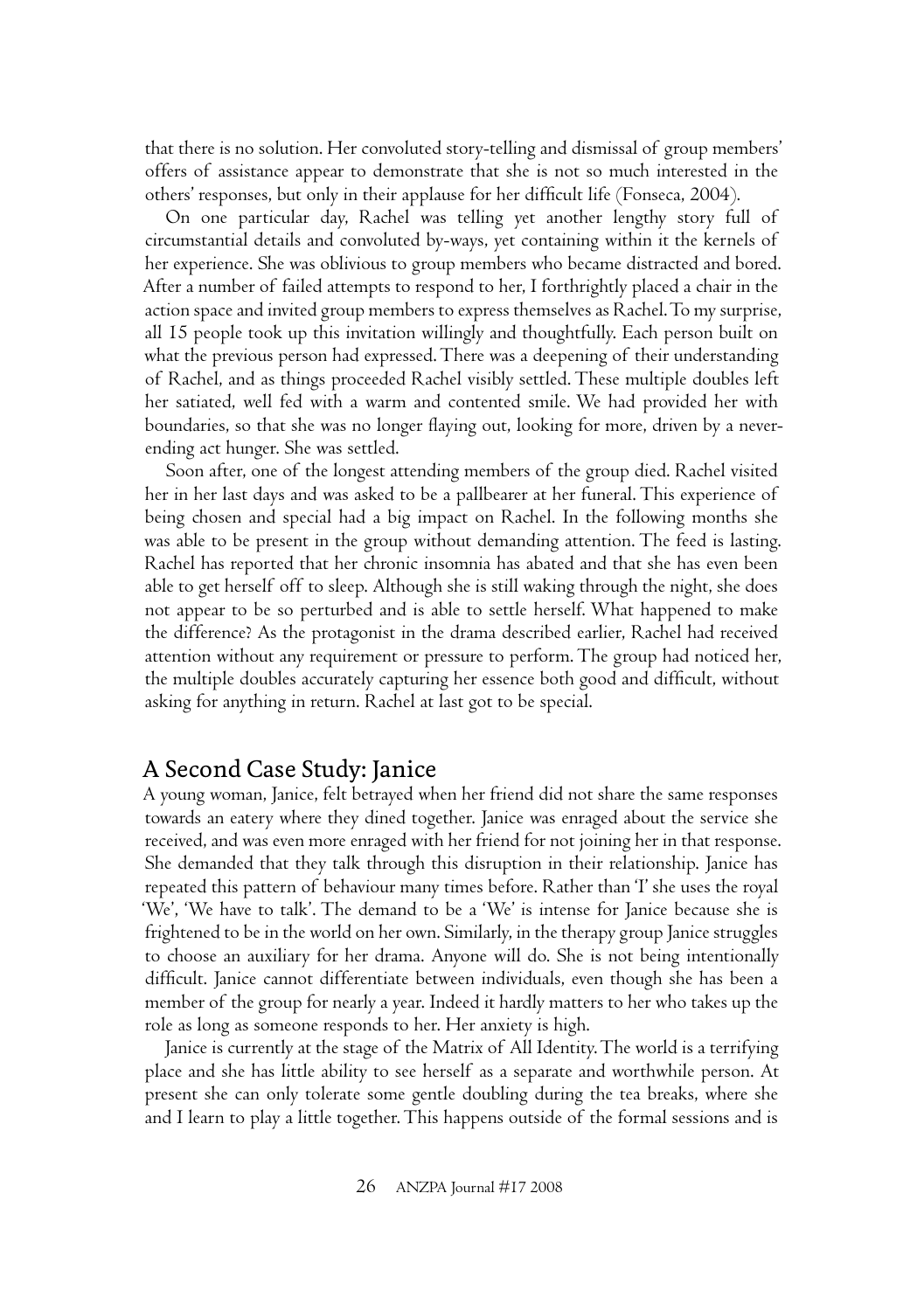that there is no solution. Her convoluted story-telling and dismissal of group members' offers of assistance appear to demonstrate that she is not so much interested in the others' responses, but only in their applause for her difficult life (Fonseca, 2004).

On one particular day, Rachel was telling yet another lengthy story full of circumstantial details and convoluted by-ways, yet containing within it the kernels of her experience. She was oblivious to group members who became distracted and bored. After a number of failed attempts to respond to her, I forthrightly placed a chair in the action space and invited group members to express themselves as Rachel. To my surprise, all 15 people took up this invitation willingly and thoughtfully. Each person built on what the previous person had expressed. There was a deepening of their understanding of Rachel, and as things proceeded Rachel visibly settled. These multiple doubles left her satiated, well fed with a warm and contented smile. We had provided her with boundaries, so that she was no longer flaying out, looking for more, driven by a neverending act hunger. She was settled.

Soon after, one of the longest attending members of the group died. Rachel visited her in her last days and was asked to be a pallbearer at her funeral. This experience of being chosen and special had a big impact on Rachel. In the following months she was able to be present in the group without demanding attention. The feed is lasting. Rachel has reported that her chronic insomnia has abated and that she has even been able to get herself off to sleep. Although she is still waking through the night, she does not appear to be so perturbed and is able to settle herself. What happened to make the difference? As the protagonist in the drama described earlier, Rachel had received attention without any requirement or pressure to perform. The group had noticed her, the multiple doubles accurately capturing her essence both good and difficult, without asking for anything in return. Rachel at last got to be special.

#### A Second Case Study: Janice

A young woman, Janice, felt betrayed when her friend did not share the same responses towards an eatery where they dined together. Janice was enraged about the service she received, and was even more enraged with her friend for not joining her in that response. She demanded that they talk through this disruption in their relationship. Janice has repeated this pattern of behaviour many times before. Rather than 'I' she uses the royal 'We', 'We have to talk'. The demand to be a 'We' is intense for Janice because she is frightened to be in the world on her own. Similarly, in the therapy group Janice struggles to choose an auxiliary for her drama. Anyone will do. She is not being intentionally difficult. Janice cannot differentiate between individuals, even though she has been a member of the group for nearly a year. Indeed it hardly matters to her who takes up the role as long as someone responds to her. Her anxiety is high.

Janice is currently at the stage of the Matrix of All Identity. The world is a terrifying place and she has little ability to see herself as a separate and worthwhile person. At present she can only tolerate some gentle doubling during the tea breaks, where she and I learn to play a little together. This happens outside of the formal sessions and is